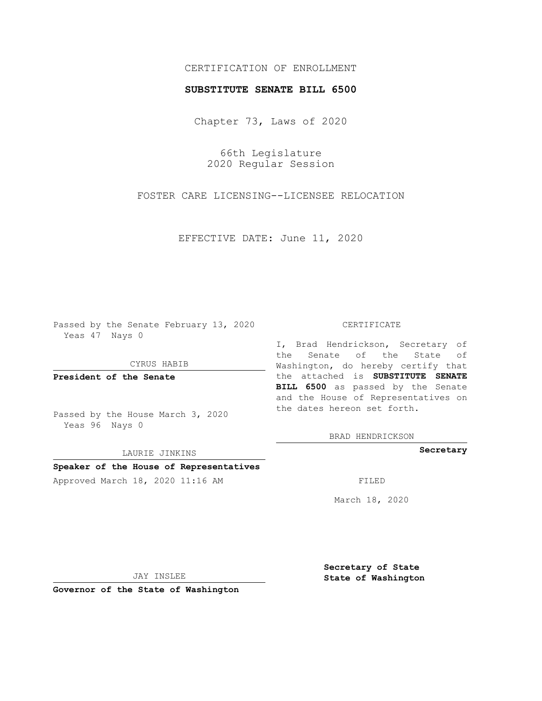## CERTIFICATION OF ENROLLMENT

## **SUBSTITUTE SENATE BILL 6500**

Chapter 73, Laws of 2020

66th Legislature 2020 Regular Session

FOSTER CARE LICENSING--LICENSEE RELOCATION

EFFECTIVE DATE: June 11, 2020

Passed by the Senate February 13, 2020 Yeas 47 Nays 0

CYRUS HABIB

**President of the Senate**

Passed by the House March 3, 2020 Yeas 96 Nays 0

LAURIE JINKINS

# **Speaker of the House of Representatives**

Approved March 18, 2020 11:16 AM FILED

#### CERTIFICATE

I, Brad Hendrickson, Secretary of the Senate of the State of Washington, do hereby certify that the attached is **SUBSTITUTE SENATE BILL 6500** as passed by the Senate and the House of Representatives on the dates hereon set forth.

BRAD HENDRICKSON

**Secretary**

March 18, 2020

JAY INSLEE

**Governor of the State of Washington**

**Secretary of State State of Washington**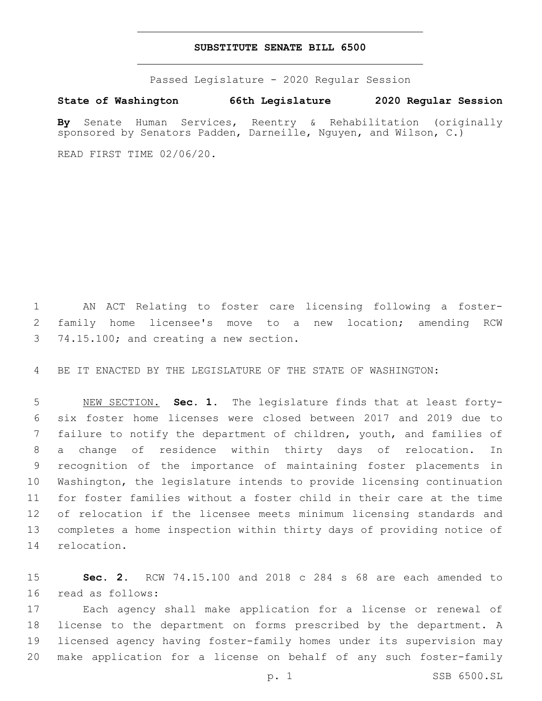### **SUBSTITUTE SENATE BILL 6500**

Passed Legislature - 2020 Regular Session

**State of Washington 66th Legislature 2020 Regular Session**

**By** Senate Human Services, Reentry & Rehabilitation (originally sponsored by Senators Padden, Darneille, Nguyen, and Wilson, C.)

READ FIRST TIME 02/06/20.

 AN ACT Relating to foster care licensing following a foster- family home licensee's move to a new location; amending RCW 3 74.15.100; and creating a new section.

BE IT ENACTED BY THE LEGISLATURE OF THE STATE OF WASHINGTON:

 NEW SECTION. **Sec. 1.** The legislature finds that at least forty- six foster home licenses were closed between 2017 and 2019 due to failure to notify the department of children, youth, and families of a change of residence within thirty days of relocation. In recognition of the importance of maintaining foster placements in Washington, the legislature intends to provide licensing continuation for foster families without a foster child in their care at the time of relocation if the licensee meets minimum licensing standards and completes a home inspection within thirty days of providing notice of relocation.

 **Sec. 2.** RCW 74.15.100 and 2018 c 284 s 68 are each amended to 16 read as follows:

 Each agency shall make application for a license or renewal of license to the department on forms prescribed by the department. A licensed agency having foster-family homes under its supervision may make application for a license on behalf of any such foster-family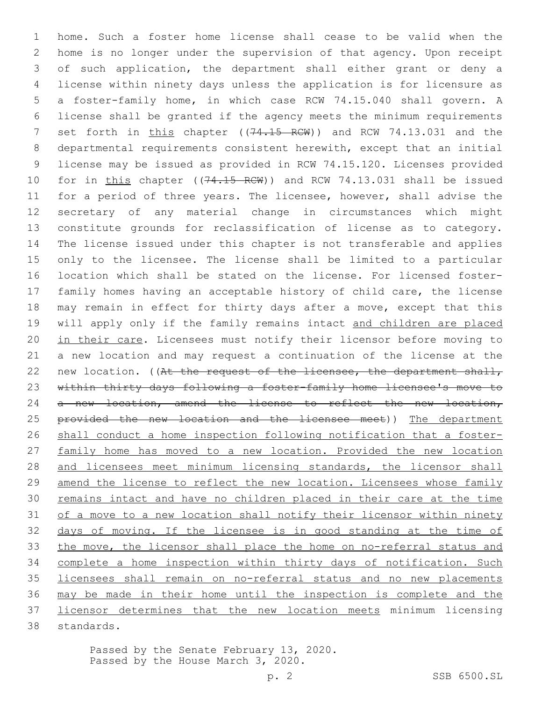home. Such a foster home license shall cease to be valid when the home is no longer under the supervision of that agency. Upon receipt of such application, the department shall either grant or deny a license within ninety days unless the application is for licensure as a foster-family home, in which case RCW 74.15.040 shall govern. A license shall be granted if the agency meets the minimum requirements 7 set forth in this chapter ((74.15 RCW)) and RCW 74.13.031 and the departmental requirements consistent herewith, except that an initial license may be issued as provided in RCW 74.15.120. Licenses provided 10 for in this chapter ((74.15 RCW)) and RCW 74.13.031 shall be issued 11 for a period of three years. The licensee, however, shall advise the secretary of any material change in circumstances which might constitute grounds for reclassification of license as to category. The license issued under this chapter is not transferable and applies only to the licensee. The license shall be limited to a particular location which shall be stated on the license. For licensed foster- family homes having an acceptable history of child care, the license 18 may remain in effect for thirty days after a move, except that this 19 will apply only if the family remains intact and children are placed 20 in their care. Licensees must notify their licensor before moving to a new location and may request a continuation of the license at the 22 new location. ((At the request of the licensee, the department shall, within thirty days following a foster-family home licensee's move to 24 a new location, amend the license to reflect the new location, 25 provided the new location and the licensee meet)) The department 26 shall conduct a home inspection following notification that a foster-27 family home has moved to a new location. Provided the new location and licensees meet minimum licensing standards, the licensor shall amend the license to reflect the new location. Licensees whose family remains intact and have no children placed in their care at the time of a move to a new location shall notify their licensor within ninety days of moving. If the licensee is in good standing at the time of 33 the move, the licensor shall place the home on no-referral status and complete a home inspection within thirty days of notification. Such licensees shall remain on no-referral status and no new placements may be made in their home until the inspection is complete and the licensor determines that the new location meets minimum licensing 38 standards.

> Passed by the Senate February 13, 2020. Passed by the House March 3, 2020.